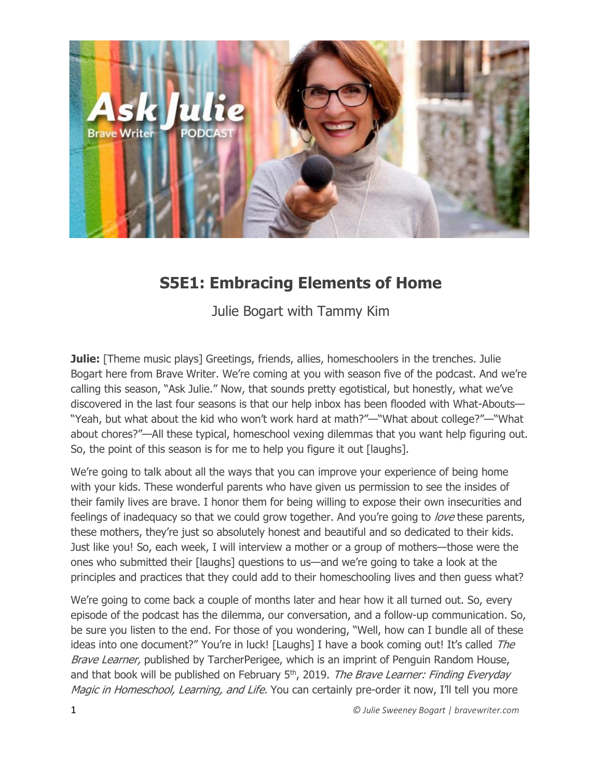

# **S5E1: Embracing Elements of Home**

Julie Bogart with Tammy Kim

**Julie:** [Theme music plays] Greetings, friends, allies, homeschoolers in the trenches. Julie Bogart here from Brave Writer. We're coming at you with season five of the podcast. And we're calling this season, "Ask Julie." Now, that sounds pretty egotistical, but honestly, what we've discovered in the last four seasons is that our help inbox has been flooded with What-Abouts— "Yeah, but what about the kid who won't work hard at math?"—"What about college?"—"What about chores?"—All these typical, homeschool vexing dilemmas that you want help figuring out. So, the point of this season is for me to help you figure it out [laughs].

We're going to talk about all the ways that you can improve your experience of being home with your kids. These wonderful parents who have given us permission to see the insides of their family lives are brave. I honor them for being willing to expose their own insecurities and feelings of inadequacy so that we could grow together. And you're going to love these parents, these mothers, they're just so absolutely honest and beautiful and so dedicated to their kids. Just like you! So, each week, I will interview a mother or a group of mothers—those were the ones who submitted their [laughs] questions to us—and we're going to take a look at the principles and practices that they could add to their homeschooling lives and then guess what?

We're going to come back a couple of months later and hear how it all turned out. So, every episode of the podcast has the dilemma, our conversation, and a follow-up communication. So, be sure you listen to the end. For those of you wondering, "Well, how can I bundle all of these ideas into one document?" You're in luck! [Laughs] I have a book coming out! It's called The Brave Learner, published by TarcherPerigee, which is an imprint of Penguin Random House, and that book will be published on February  $5<sup>th</sup>$ , 2019. The Brave Learner: Finding Everyday Magic in Homeschool, Learning, and Life. You can certainly pre-order it now, I'll tell you more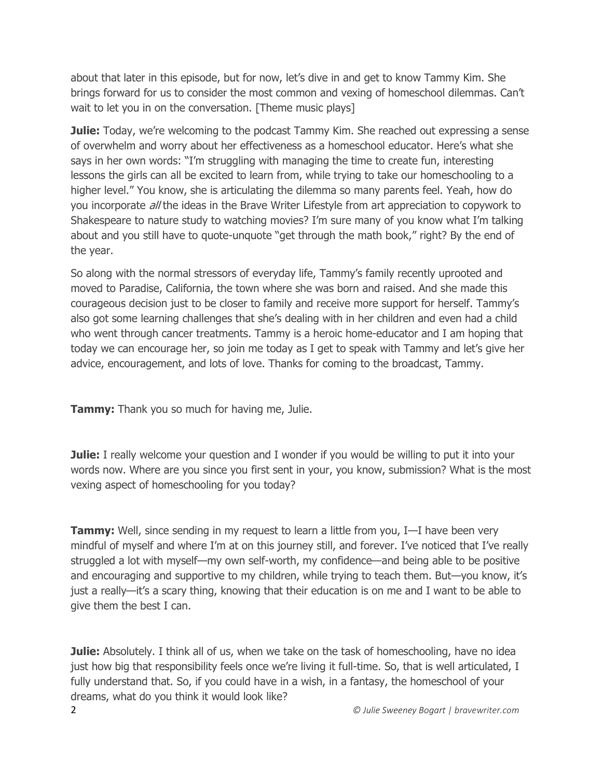about that later in this episode, but for now, let's dive in and get to know Tammy Kim. She brings forward for us to consider the most common and vexing of homeschool dilemmas. Can't wait to let you in on the conversation. [Theme music plays]

**Julie:** Today, we're welcoming to the podcast Tammy Kim. She reached out expressing a sense of overwhelm and worry about her effectiveness as a homeschool educator. Here's what she says in her own words: "I'm struggling with managing the time to create fun, interesting lessons the girls can all be excited to learn from, while trying to take our homeschooling to a higher level." You know, she is articulating the dilemma so many parents feel. Yeah, how do you incorporate *all* the ideas in the Brave Writer Lifestyle from art appreciation to copywork to Shakespeare to nature study to watching movies? I'm sure many of you know what I'm talking about and you still have to quote-unquote "get through the math book," right? By the end of the year.

So along with the normal stressors of everyday life, Tammy's family recently uprooted and moved to Paradise, California, the town where she was born and raised. And she made this courageous decision just to be closer to family and receive more support for herself. Tammy's also got some learning challenges that she's dealing with in her children and even had a child who went through cancer treatments. Tammy is a heroic home-educator and I am hoping that today we can encourage her, so join me today as I get to speak with Tammy and let's give her advice, encouragement, and lots of love. Thanks for coming to the broadcast, Tammy.

**Tammy:** Thank you so much for having me, Julie.

**Julie:** I really welcome your question and I wonder if you would be willing to put it into your words now. Where are you since you first sent in your, you know, submission? What is the most vexing aspect of homeschooling for you today?

**Tammy:** Well, since sending in my request to learn a little from you, I—I have been very mindful of myself and where I'm at on this journey still, and forever. I've noticed that I've really struggled a lot with myself—my own self-worth, my confidence—and being able to be positive and encouraging and supportive to my children, while trying to teach them. But—you know, it's just a really—it's a scary thing, knowing that their education is on me and I want to be able to give them the best I can.

**Julie:** Absolutely. I think all of us, when we take on the task of homeschooling, have no idea just how big that responsibility feels once we're living it full-time. So, that is well articulated, I fully understand that. So, if you could have in a wish, in a fantasy, the homeschool of your dreams, what do you think it would look like?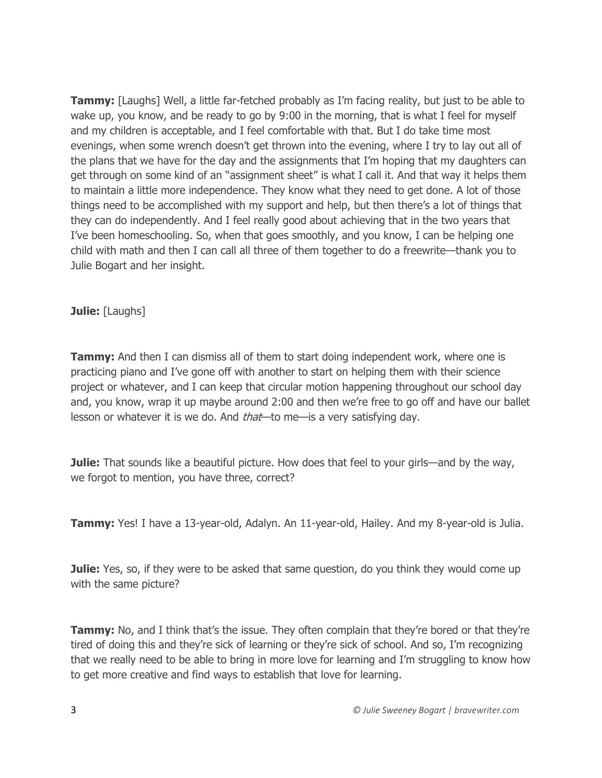**Tammy:** [Laughs] Well, a little far-fetched probably as I'm facing reality, but just to be able to wake up, you know, and be ready to go by 9:00 in the morning, that is what I feel for myself and my children is acceptable, and I feel comfortable with that. But I do take time most evenings, when some wrench doesn't get thrown into the evening, where I try to lay out all of the plans that we have for the day and the assignments that I'm hoping that my daughters can get through on some kind of an "assignment sheet" is what I call it. And that way it helps them to maintain a little more independence. They know what they need to get done. A lot of those things need to be accomplished with my support and help, but then there's a lot of things that they can do independently. And I feel really good about achieving that in the two years that I've been homeschooling. So, when that goes smoothly, and you know, I can be helping one child with math and then I can call all three of them together to do a freewrite—thank you to Julie Bogart and her insight.

## **Julie:** [Laughs]

**Tammy:** And then I can dismiss all of them to start doing independent work, where one is practicing piano and I've gone off with another to start on helping them with their science project or whatever, and I can keep that circular motion happening throughout our school day and, you know, wrap it up maybe around 2:00 and then we're free to go off and have our ballet lesson or whatever it is we do. And *that*—to me—is a very satisfying day.

**Julie:** That sounds like a beautiful picture. How does that feel to your girls—and by the way, we forgot to mention, you have three, correct?

**Tammy:** Yes! I have a 13-year-old, Adalyn. An 11-year-old, Hailey. And my 8-year-old is Julia.

**Julie:** Yes, so, if they were to be asked that same question, do you think they would come up with the same picture?

**Tammy:** No, and I think that's the issue. They often complain that they're bored or that they're tired of doing this and they're sick of learning or they're sick of school. And so, I'm recognizing that we really need to be able to bring in more love for learning and I'm struggling to know how to get more creative and find ways to establish that love for learning.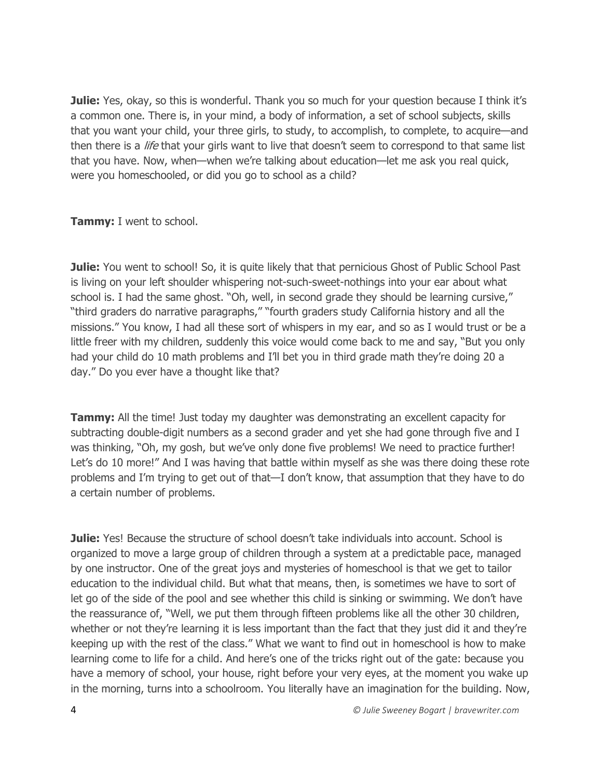**Julie:** Yes, okay, so this is wonderful. Thank you so much for your question because I think it's a common one. There is, in your mind, a body of information, a set of school subjects, skills that you want your child, your three girls, to study, to accomplish, to complete, to acquire—and then there is a *life* that your girls want to live that doesn't seem to correspond to that same list that you have. Now, when—when we're talking about education—let me ask you real quick, were you homeschooled, or did you go to school as a child?

**Tammy:** I went to school.

**Julie:** You went to school! So, it is quite likely that that pernicious Ghost of Public School Past is living on your left shoulder whispering not-such-sweet-nothings into your ear about what school is. I had the same ghost. "Oh, well, in second grade they should be learning cursive," "third graders do narrative paragraphs," "fourth graders study California history and all the missions." You know, I had all these sort of whispers in my ear, and so as I would trust or be a little freer with my children, suddenly this voice would come back to me and say, "But you only had your child do 10 math problems and I'll bet you in third grade math they're doing 20 a day." Do you ever have a thought like that?

**Tammy:** All the time! Just today my daughter was demonstrating an excellent capacity for subtracting double-digit numbers as a second grader and yet she had gone through five and I was thinking, "Oh, my gosh, but we've only done five problems! We need to practice further! Let's do 10 more!" And I was having that battle within myself as she was there doing these rote problems and I'm trying to get out of that—I don't know, that assumption that they have to do a certain number of problems.

**Julie:** Yes! Because the structure of school doesn't take individuals into account. School is organized to move a large group of children through a system at a predictable pace, managed by one instructor. One of the great joys and mysteries of homeschool is that we get to tailor education to the individual child. But what that means, then, is sometimes we have to sort of let go of the side of the pool and see whether this child is sinking or swimming. We don't have the reassurance of, "Well, we put them through fifteen problems like all the other 30 children, whether or not they're learning it is less important than the fact that they just did it and they're keeping up with the rest of the class." What we want to find out in homeschool is how to make learning come to life for a child. And here's one of the tricks right out of the gate: because you have a memory of school, your house, right before your very eyes, at the moment you wake up in the morning, turns into a schoolroom. You literally have an imagination for the building. Now,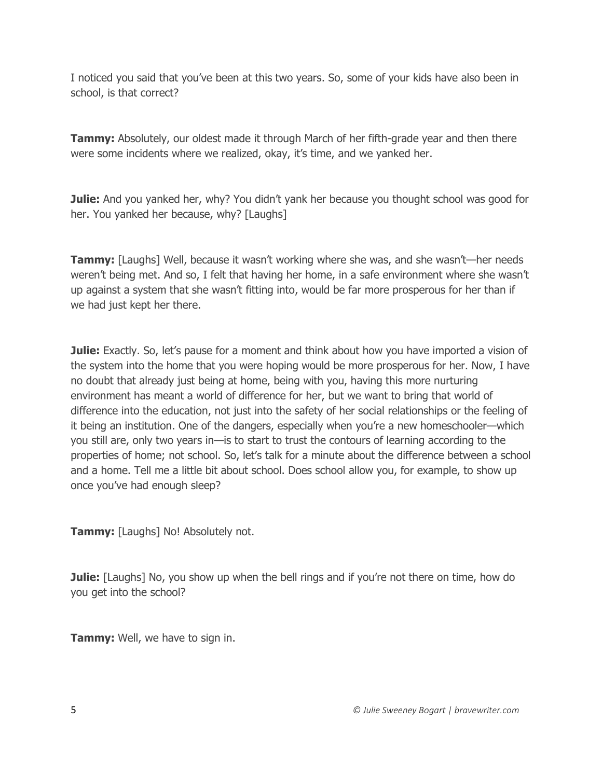I noticed you said that you've been at this two years. So, some of your kids have also been in school, is that correct?

**Tammy:** Absolutely, our oldest made it through March of her fifth-grade year and then there were some incidents where we realized, okay, it's time, and we yanked her.

**Julie:** And you yanked her, why? You didn't yank her because you thought school was good for her. You yanked her because, why? [Laughs]

**Tammy:** [Laughs] Well, because it wasn't working where she was, and she wasn't—her needs weren't being met. And so, I felt that having her home, in a safe environment where she wasn't up against a system that she wasn't fitting into, would be far more prosperous for her than if we had just kept her there.

**Julie:** Exactly. So, let's pause for a moment and think about how you have imported a vision of the system into the home that you were hoping would be more prosperous for her. Now, I have no doubt that already just being at home, being with you, having this more nurturing environment has meant a world of difference for her, but we want to bring that world of difference into the education, not just into the safety of her social relationships or the feeling of it being an institution. One of the dangers, especially when you're a new homeschooler—which you still are, only two years in—is to start to trust the contours of learning according to the properties of home; not school. So, let's talk for a minute about the difference between a school and a home. Tell me a little bit about school. Does school allow you, for example, to show up once you've had enough sleep?

**Tammy:** [Laughs] No! Absolutely not.

**Julie:** [Laughs] No, you show up when the bell rings and if you're not there on time, how do you get into the school?

**Tammy:** Well, we have to sign in.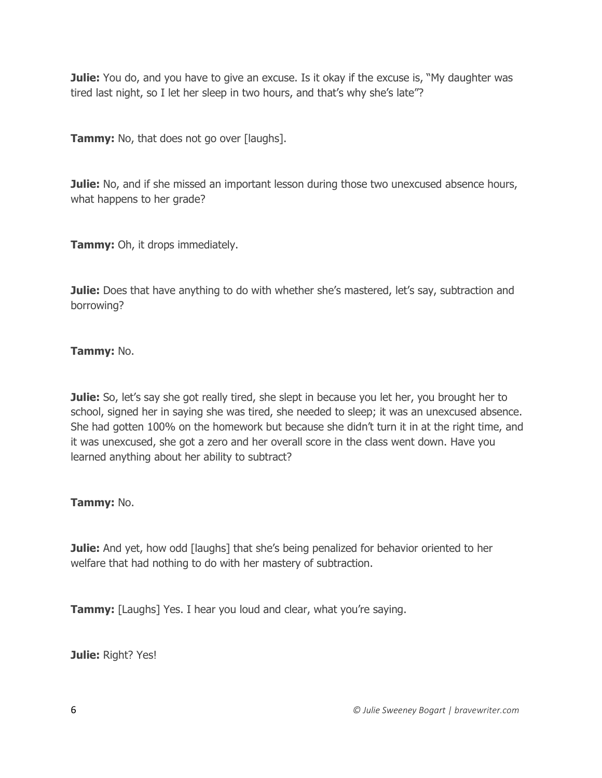**Julie:** You do, and you have to give an excuse. Is it okay if the excuse is, "My daughter was tired last night, so I let her sleep in two hours, and that's why she's late"?

**Tammy:** No, that does not go over [laughs].

**Julie:** No, and if she missed an important lesson during those two unexcused absence hours, what happens to her grade?

**Tammy:** Oh, it drops immediately.

**Julie:** Does that have anything to do with whether she's mastered, let's say, subtraction and borrowing?

# **Tammy:** No.

**Julie:** So, let's say she got really tired, she slept in because you let her, you brought her to school, signed her in saying she was tired, she needed to sleep; it was an unexcused absence. She had gotten 100% on the homework but because she didn't turn it in at the right time, and it was unexcused, she got a zero and her overall score in the class went down. Have you learned anything about her ability to subtract?

# **Tammy:** No.

**Julie:** And yet, how odd [laughs] that she's being penalized for behavior oriented to her welfare that had nothing to do with her mastery of subtraction.

**Tammy:** [Laughs] Yes. I hear you loud and clear, what you're saying.

**Julie:** Right? Yes!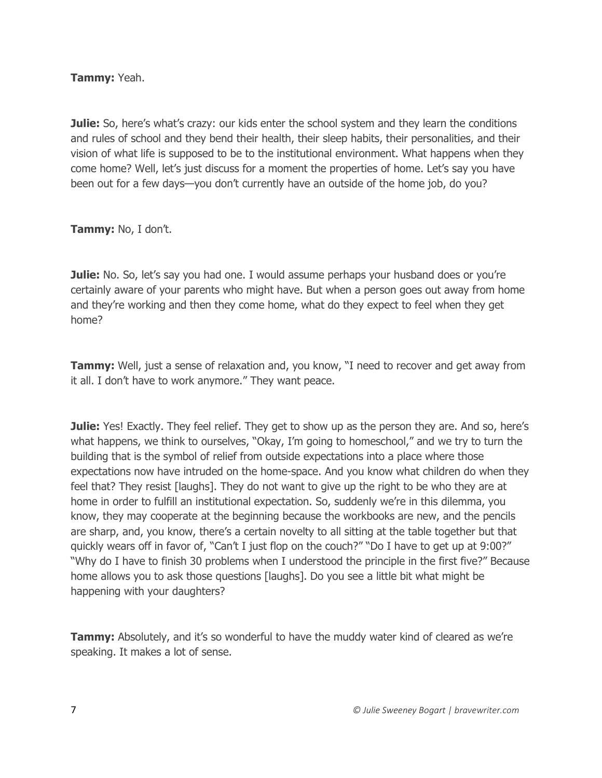**Tammy:** Yeah.

**Julie:** So, here's what's crazy: our kids enter the school system and they learn the conditions and rules of school and they bend their health, their sleep habits, their personalities, and their vision of what life is supposed to be to the institutional environment. What happens when they come home? Well, let's just discuss for a moment the properties of home. Let's say you have been out for a few days—you don't currently have an outside of the home job, do you?

**Tammy:** No, I don't.

**Julie:** No. So, let's say you had one. I would assume perhaps your husband does or you're certainly aware of your parents who might have. But when a person goes out away from home and they're working and then they come home, what do they expect to feel when they get home?

**Tammy:** Well, just a sense of relaxation and, you know, "I need to recover and get away from it all. I don't have to work anymore." They want peace.

**Julie:** Yes! Exactly. They feel relief. They get to show up as the person they are. And so, here's what happens, we think to ourselves, "Okay, I'm going to homeschool," and we try to turn the building that is the symbol of relief from outside expectations into a place where those expectations now have intruded on the home-space. And you know what children do when they feel that? They resist [laughs]. They do not want to give up the right to be who they are at home in order to fulfill an institutional expectation. So, suddenly we're in this dilemma, you know, they may cooperate at the beginning because the workbooks are new, and the pencils are sharp, and, you know, there's a certain novelty to all sitting at the table together but that quickly wears off in favor of, "Can't I just flop on the couch?" "Do I have to get up at 9:00?" "Why do I have to finish 30 problems when I understood the principle in the first five?" Because home allows you to ask those questions [laughs]. Do you see a little bit what might be happening with your daughters?

**Tammy:** Absolutely, and it's so wonderful to have the muddy water kind of cleared as we're speaking. It makes a lot of sense.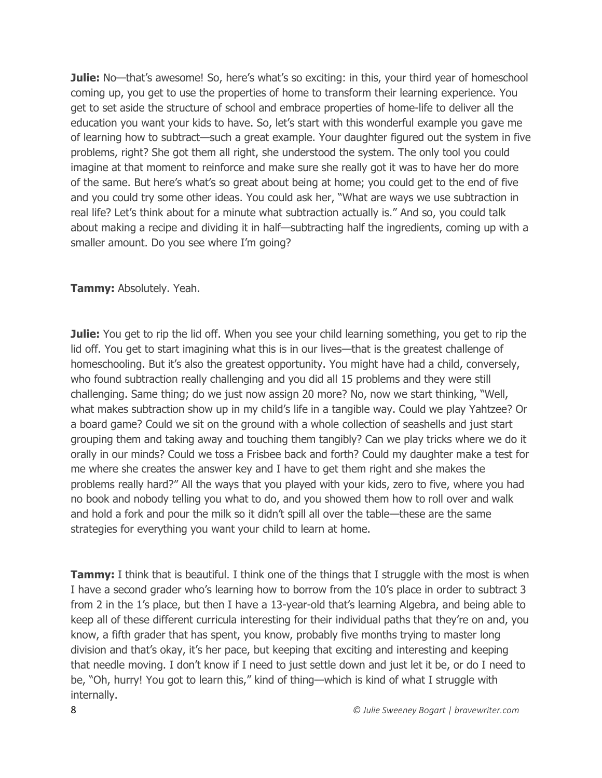**Julie:** No—that's awesome! So, here's what's so exciting: in this, your third year of homeschool coming up, you get to use the properties of home to transform their learning experience. You get to set aside the structure of school and embrace properties of home-life to deliver all the education you want your kids to have. So, let's start with this wonderful example you gave me of learning how to subtract—such a great example. Your daughter figured out the system in five problems, right? She got them all right, she understood the system. The only tool you could imagine at that moment to reinforce and make sure she really got it was to have her do more of the same. But here's what's so great about being at home; you could get to the end of five and you could try some other ideas. You could ask her, "What are ways we use subtraction in real life? Let's think about for a minute what subtraction actually is." And so, you could talk about making a recipe and dividing it in half—subtracting half the ingredients, coming up with a smaller amount. Do you see where I'm going?

#### **Tammy:** Absolutely. Yeah.

**Julie:** You get to rip the lid off. When you see your child learning something, you get to rip the lid off. You get to start imagining what this is in our lives—that is the greatest challenge of homeschooling. But it's also the greatest opportunity. You might have had a child, conversely, who found subtraction really challenging and you did all 15 problems and they were still challenging. Same thing; do we just now assign 20 more? No, now we start thinking, "Well, what makes subtraction show up in my child's life in a tangible way. Could we play Yahtzee? Or a board game? Could we sit on the ground with a whole collection of seashells and just start grouping them and taking away and touching them tangibly? Can we play tricks where we do it orally in our minds? Could we toss a Frisbee back and forth? Could my daughter make a test for me where she creates the answer key and I have to get them right and she makes the problems really hard?" All the ways that you played with your kids, zero to five, where you had no book and nobody telling you what to do, and you showed them how to roll over and walk and hold a fork and pour the milk so it didn't spill all over the table—these are the same strategies for everything you want your child to learn at home.

**Tammy:** I think that is beautiful. I think one of the things that I struggle with the most is when I have a second grader who's learning how to borrow from the 10's place in order to subtract 3 from 2 in the 1's place, but then I have a 13-year-old that's learning Algebra, and being able to keep all of these different curricula interesting for their individual paths that they're on and, you know, a fifth grader that has spent, you know, probably five months trying to master long division and that's okay, it's her pace, but keeping that exciting and interesting and keeping that needle moving. I don't know if I need to just settle down and just let it be, or do I need to be, "Oh, hurry! You got to learn this," kind of thing—which is kind of what I struggle with internally.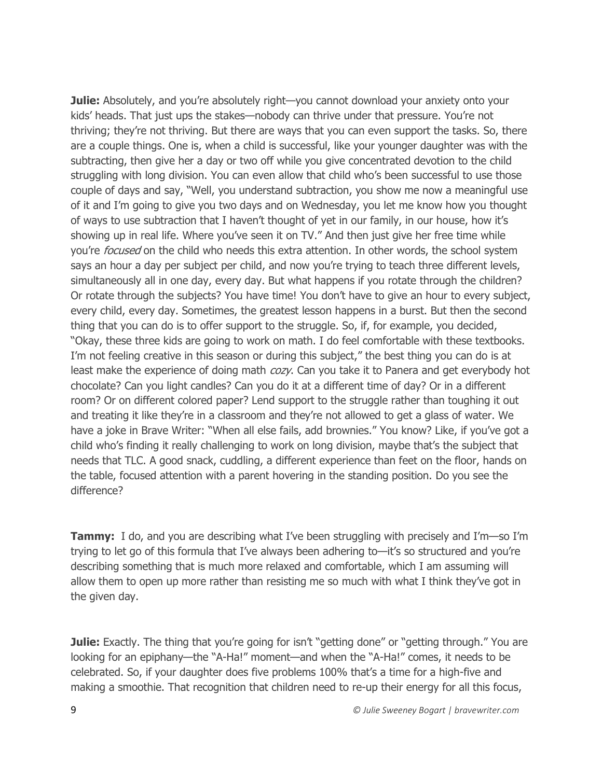**Julie:** Absolutely, and you're absolutely right—you cannot download your anxiety onto your kids' heads. That just ups the stakes—nobody can thrive under that pressure. You're not thriving; they're not thriving. But there are ways that you can even support the tasks. So, there are a couple things. One is, when a child is successful, like your younger daughter was with the subtracting, then give her a day or two off while you give concentrated devotion to the child struggling with long division. You can even allow that child who's been successful to use those couple of days and say, "Well, you understand subtraction, you show me now a meaningful use of it and I'm going to give you two days and on Wednesday, you let me know how you thought of ways to use subtraction that I haven't thought of yet in our family, in our house, how it's showing up in real life. Where you've seen it on TV." And then just give her free time while you're *focused* on the child who needs this extra attention. In other words, the school system says an hour a day per subject per child, and now you're trying to teach three different levels, simultaneously all in one day, every day. But what happens if you rotate through the children? Or rotate through the subjects? You have time! You don't have to give an hour to every subject, every child, every day. Sometimes, the greatest lesson happens in a burst. But then the second thing that you can do is to offer support to the struggle. So, if, for example, you decided, "Okay, these three kids are going to work on math. I do feel comfortable with these textbooks. I'm not feeling creative in this season or during this subject," the best thing you can do is at least make the experience of doing math cozy. Can you take it to Panera and get everybody hot chocolate? Can you light candles? Can you do it at a different time of day? Or in a different room? Or on different colored paper? Lend support to the struggle rather than toughing it out and treating it like they're in a classroom and they're not allowed to get a glass of water. We have a joke in Brave Writer: "When all else fails, add brownies." You know? Like, if you've got a child who's finding it really challenging to work on long division, maybe that's the subject that needs that TLC. A good snack, cuddling, a different experience than feet on the floor, hands on the table, focused attention with a parent hovering in the standing position. Do you see the difference?

**Tammy:** I do, and you are describing what I've been struggling with precisely and I'm—so I'm trying to let go of this formula that I've always been adhering to—it's so structured and you're describing something that is much more relaxed and comfortable, which I am assuming will allow them to open up more rather than resisting me so much with what I think they've got in the given day.

**Julie:** Exactly. The thing that you're going for isn't "getting done" or "getting through." You are looking for an epiphany—the "A-Ha!" moment—and when the "A-Ha!" comes, it needs to be celebrated. So, if your daughter does five problems 100% that's a time for a high-five and making a smoothie. That recognition that children need to re-up their energy for all this focus,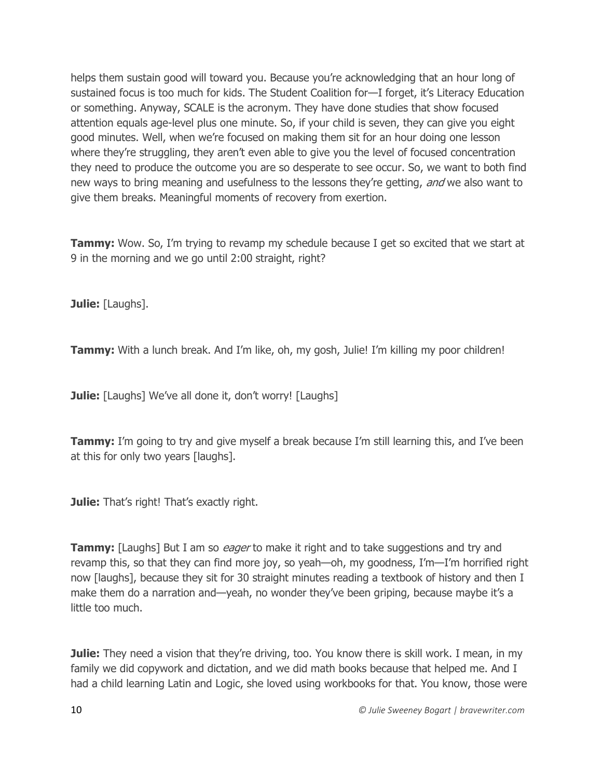helps them sustain good will toward you. Because you're acknowledging that an hour long of sustained focus is too much for kids. The Student Coalition for—I forget, it's Literacy Education or something. Anyway, SCALE is the acronym. They have done studies that show focused attention equals age-level plus one minute. So, if your child is seven, they can give you eight good minutes. Well, when we're focused on making them sit for an hour doing one lesson where they're struggling, they aren't even able to give you the level of focused concentration they need to produce the outcome you are so desperate to see occur. So, we want to both find new ways to bring meaning and usefulness to the lessons they're getting, and we also want to give them breaks. Meaningful moments of recovery from exertion.

**Tammy:** Wow. So, I'm trying to revamp my schedule because I get so excited that we start at 9 in the morning and we go until 2:00 straight, right?

**Julie:** [Laughs].

**Tammy:** With a lunch break. And I'm like, oh, my gosh, Julie! I'm killing my poor children!

**Julie:** [Laughs] We've all done it, don't worry! [Laughs]

**Tammy:** I'm going to try and give myself a break because I'm still learning this, and I've been at this for only two years [laughs].

**Julie:** That's right! That's exactly right.

**Tammy:** [Laughs] But I am so *eager* to make it right and to take suggestions and try and revamp this, so that they can find more joy, so yeah—oh, my goodness, I'm—I'm horrified right now [laughs], because they sit for 30 straight minutes reading a textbook of history and then I make them do a narration and—yeah, no wonder they've been griping, because maybe it's a little too much.

**Julie:** They need a vision that they're driving, too. You know there is skill work. I mean, in my family we did copywork and dictation, and we did math books because that helped me. And I had a child learning Latin and Logic, she loved using workbooks for that. You know, those were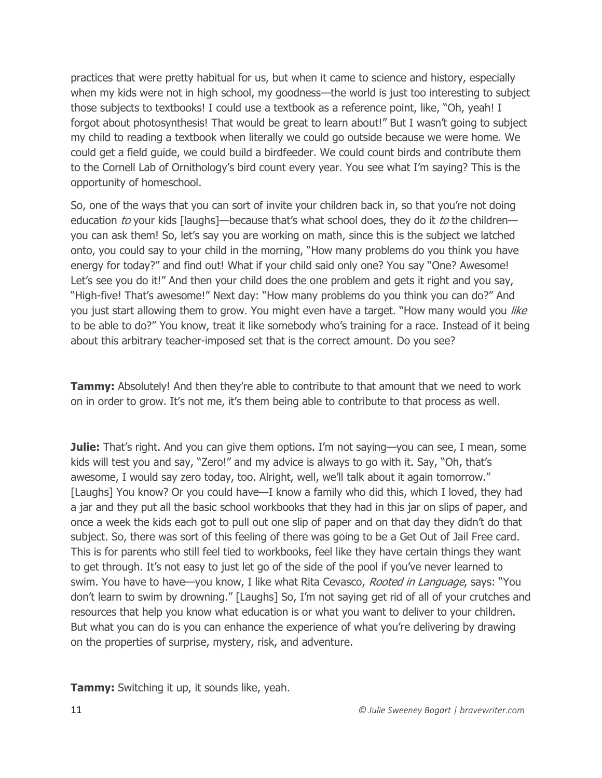practices that were pretty habitual for us, but when it came to science and history, especially when my kids were not in high school, my goodness—the world is just too interesting to subject those subjects to textbooks! I could use a textbook as a reference point, like, "Oh, yeah! I forgot about photosynthesis! That would be great to learn about!" But I wasn't going to subject my child to reading a textbook when literally we could go outside because we were home. We could get a field guide, we could build a birdfeeder. We could count birds and contribute them to the Cornell Lab of Ornithology's bird count every year. You see what I'm saying? This is the opportunity of homeschool.

So, one of the ways that you can sort of invite your children back in, so that you're not doing education to your kids [laughs]—because that's what school does, they do it to the children you can ask them! So, let's say you are working on math, since this is the subject we latched onto, you could say to your child in the morning, "How many problems do you think you have energy for today?" and find out! What if your child said only one? You say "One? Awesome! Let's see you do it!" And then your child does the one problem and gets it right and you say, "High-five! That's awesome!" Next day: "How many problems do you think you can do?" And you just start allowing them to grow. You might even have a target. "How many would you like to be able to do?" You know, treat it like somebody who's training for a race. Instead of it being about this arbitrary teacher-imposed set that is the correct amount. Do you see?

**Tammy:** Absolutely! And then they're able to contribute to that amount that we need to work on in order to grow. It's not me, it's them being able to contribute to that process as well.

**Julie:** That's right. And you can give them options. I'm not saying—you can see, I mean, some kids will test you and say, "Zero!" and my advice is always to go with it. Say, "Oh, that's awesome, I would say zero today, too. Alright, well, we'll talk about it again tomorrow." [Laughs] You know? Or you could have—I know a family who did this, which I loved, they had a jar and they put all the basic school workbooks that they had in this jar on slips of paper, and once a week the kids each got to pull out one slip of paper and on that day they didn't do that subject. So, there was sort of this feeling of there was going to be a Get Out of Jail Free card. This is for parents who still feel tied to workbooks, feel like they have certain things they want to get through. It's not easy to just let go of the side of the pool if you've never learned to swim. You have to have—you know, I like what Rita Cevasco, Rooted in Language, says: "You don't learn to swim by drowning." [Laughs] So, I'm not saying get rid of all of your crutches and resources that help you know what education is or what you want to deliver to your children. But what you can do is you can enhance the experience of what you're delivering by drawing on the properties of surprise, mystery, risk, and adventure.

**Tammy:** Switching it up, it sounds like, yeah.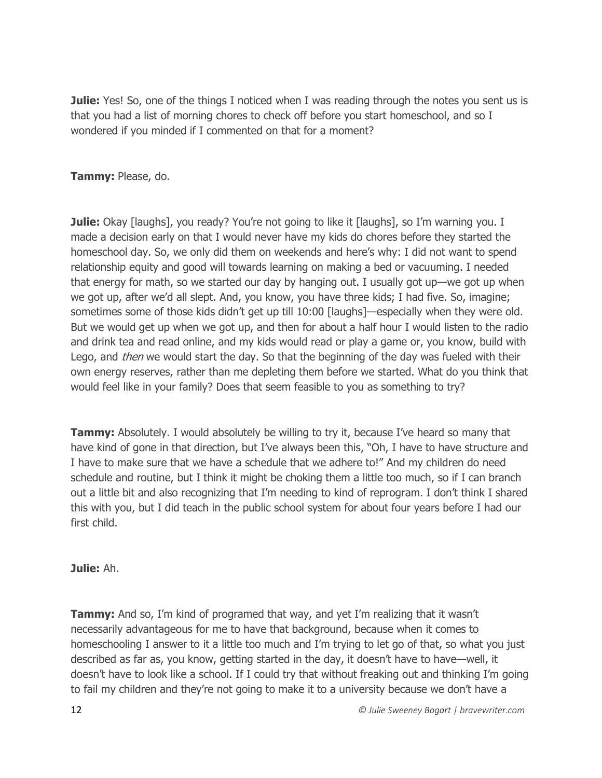**Julie:** Yes! So, one of the things I noticed when I was reading through the notes you sent us is that you had a list of morning chores to check off before you start homeschool, and so I wondered if you minded if I commented on that for a moment?

## **Tammy:** Please, do.

**Julie:** Okay [laughs], you ready? You're not going to like it [laughs], so I'm warning you. I made a decision early on that I would never have my kids do chores before they started the homeschool day. So, we only did them on weekends and here's why: I did not want to spend relationship equity and good will towards learning on making a bed or vacuuming. I needed that energy for math, so we started our day by hanging out. I usually got up—we got up when we got up, after we'd all slept. And, you know, you have three kids; I had five. So, imagine; sometimes some of those kids didn't get up till 10:00 [laughs]—especially when they were old. But we would get up when we got up, and then for about a half hour I would listen to the radio and drink tea and read online, and my kids would read or play a game or, you know, build with Lego, and *then* we would start the day. So that the beginning of the day was fueled with their own energy reserves, rather than me depleting them before we started. What do you think that would feel like in your family? Does that seem feasible to you as something to try?

**Tammy:** Absolutely. I would absolutely be willing to try it, because I've heard so many that have kind of gone in that direction, but I've always been this, "Oh, I have to have structure and I have to make sure that we have a schedule that we adhere to!" And my children do need schedule and routine, but I think it might be choking them a little too much, so if I can branch out a little bit and also recognizing that I'm needing to kind of reprogram. I don't think I shared this with you, but I did teach in the public school system for about four years before I had our first child.

#### **Julie:** Ah.

**Tammy:** And so, I'm kind of programed that way, and yet I'm realizing that it wasn't necessarily advantageous for me to have that background, because when it comes to homeschooling I answer to it a little too much and I'm trying to let go of that, so what you just described as far as, you know, getting started in the day, it doesn't have to have—well, it doesn't have to look like a school. If I could try that without freaking out and thinking I'm going to fail my children and they're not going to make it to a university because we don't have a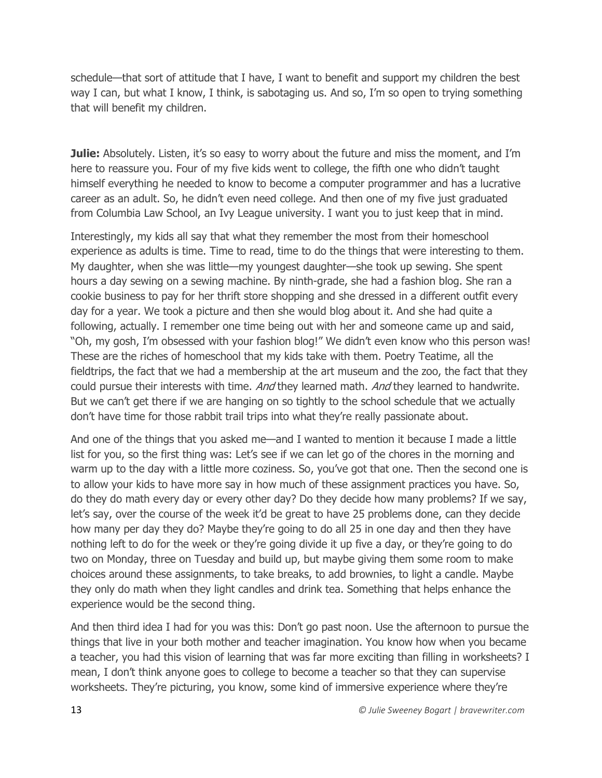schedule—that sort of attitude that I have, I want to benefit and support my children the best way I can, but what I know, I think, is sabotaging us. And so, I'm so open to trying something that will benefit my children.

**Julie:** Absolutely. Listen, it's so easy to worry about the future and miss the moment, and I'm here to reassure you. Four of my five kids went to college, the fifth one who didn't taught himself everything he needed to know to become a computer programmer and has a lucrative career as an adult. So, he didn't even need college. And then one of my five just graduated from Columbia Law School, an Ivy League university. I want you to just keep that in mind.

Interestingly, my kids all say that what they remember the most from their homeschool experience as adults is time. Time to read, time to do the things that were interesting to them. My daughter, when she was little—my youngest daughter—she took up sewing. She spent hours a day sewing on a sewing machine. By ninth-grade, she had a fashion blog. She ran a cookie business to pay for her thrift store shopping and she dressed in a different outfit every day for a year. We took a picture and then she would blog about it. And she had quite a following, actually. I remember one time being out with her and someone came up and said, "Oh, my gosh, I'm obsessed with your fashion blog!" We didn't even know who this person was! These are the riches of homeschool that my kids take with them. Poetry Teatime, all the fieldtrips, the fact that we had a membership at the art museum and the zoo, the fact that they could pursue their interests with time. And they learned math. And they learned to handwrite. But we can't get there if we are hanging on so tightly to the school schedule that we actually don't have time for those rabbit trail trips into what they're really passionate about.

And one of the things that you asked me—and I wanted to mention it because I made a little list for you, so the first thing was: Let's see if we can let go of the chores in the morning and warm up to the day with a little more coziness. So, you've got that one. Then the second one is to allow your kids to have more say in how much of these assignment practices you have. So, do they do math every day or every other day? Do they decide how many problems? If we say, let's say, over the course of the week it'd be great to have 25 problems done, can they decide how many per day they do? Maybe they're going to do all 25 in one day and then they have nothing left to do for the week or they're going divide it up five a day, or they're going to do two on Monday, three on Tuesday and build up, but maybe giving them some room to make choices around these assignments, to take breaks, to add brownies, to light a candle. Maybe they only do math when they light candles and drink tea. Something that helps enhance the experience would be the second thing.

And then third idea I had for you was this: Don't go past noon. Use the afternoon to pursue the things that live in your both mother and teacher imagination. You know how when you became a teacher, you had this vision of learning that was far more exciting than filling in worksheets? I mean, I don't think anyone goes to college to become a teacher so that they can supervise worksheets. They're picturing, you know, some kind of immersive experience where they're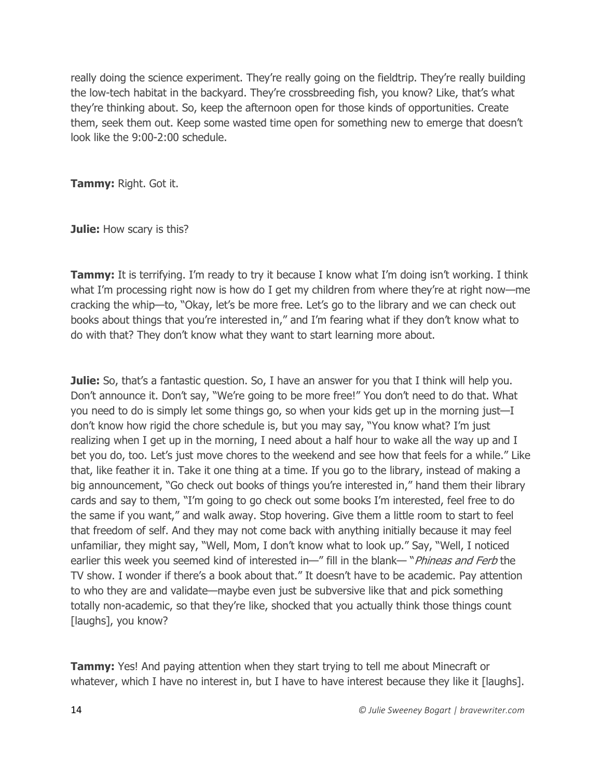really doing the science experiment. They're really going on the fieldtrip. They're really building the low-tech habitat in the backyard. They're crossbreeding fish, you know? Like, that's what they're thinking about. So, keep the afternoon open for those kinds of opportunities. Create them, seek them out. Keep some wasted time open for something new to emerge that doesn't look like the 9:00-2:00 schedule.

**Tammy:** Right. Got it.

**Julie:** How scary is this?

**Tammy:** It is terrifying. I'm ready to try it because I know what I'm doing isn't working. I think what I'm processing right now is how do I get my children from where they're at right now—me cracking the whip—to, "Okay, let's be more free. Let's go to the library and we can check out books about things that you're interested in," and I'm fearing what if they don't know what to do with that? They don't know what they want to start learning more about.

**Julie:** So, that's a fantastic question. So, I have an answer for you that I think will help you. Don't announce it. Don't say, "We're going to be more free!" You don't need to do that. What you need to do is simply let some things go, so when your kids get up in the morning just—I don't know how rigid the chore schedule is, but you may say, "You know what? I'm just realizing when I get up in the morning, I need about a half hour to wake all the way up and I bet you do, too. Let's just move chores to the weekend and see how that feels for a while." Like that, like feather it in. Take it one thing at a time. If you go to the library, instead of making a big announcement, "Go check out books of things you're interested in," hand them their library cards and say to them, "I'm going to go check out some books I'm interested, feel free to do the same if you want," and walk away. Stop hovering. Give them a little room to start to feel that freedom of self. And they may not come back with anything initially because it may feel unfamiliar, they might say, "Well, Mom, I don't know what to look up." Say, "Well, I noticed earlier this week you seemed kind of interested in—" fill in the blank—" *Phineas and Ferb* the TV show. I wonder if there's a book about that." It doesn't have to be academic. Pay attention to who they are and validate—maybe even just be subversive like that and pick something totally non-academic, so that they're like, shocked that you actually think those things count [laughs], you know?

**Tammy:** Yes! And paying attention when they start trying to tell me about Minecraft or whatever, which I have no interest in, but I have to have interest because they like it [laughs].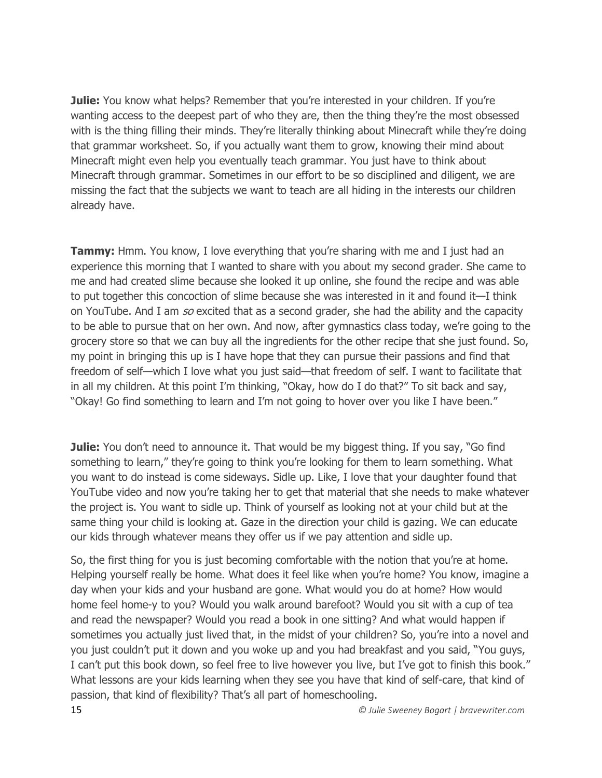**Julie:** You know what helps? Remember that you're interested in your children. If you're wanting access to the deepest part of who they are, then the thing they're the most obsessed with is the thing filling their minds. They're literally thinking about Minecraft while they're doing that grammar worksheet. So, if you actually want them to grow, knowing their mind about Minecraft might even help you eventually teach grammar. You just have to think about Minecraft through grammar. Sometimes in our effort to be so disciplined and diligent, we are missing the fact that the subjects we want to teach are all hiding in the interests our children already have.

**Tammy:** Hmm. You know, I love everything that you're sharing with me and I just had an experience this morning that I wanted to share with you about my second grader. She came to me and had created slime because she looked it up online, she found the recipe and was able to put together this concoction of slime because she was interested in it and found it—I think on YouTube. And I am so excited that as a second grader, she had the ability and the capacity to be able to pursue that on her own. And now, after gymnastics class today, we're going to the grocery store so that we can buy all the ingredients for the other recipe that she just found. So, my point in bringing this up is I have hope that they can pursue their passions and find that freedom of self—which I love what you just said—that freedom of self. I want to facilitate that in all my children. At this point I'm thinking, "Okay, how do I do that?" To sit back and say, "Okay! Go find something to learn and I'm not going to hover over you like I have been."

**Julie:** You don't need to announce it. That would be my biggest thing. If you say, "Go find something to learn," they're going to think you're looking for them to learn something. What you want to do instead is come sideways. Sidle up. Like, I love that your daughter found that YouTube video and now you're taking her to get that material that she needs to make whatever the project is. You want to sidle up. Think of yourself as looking not at your child but at the same thing your child is looking at. Gaze in the direction your child is gazing. We can educate our kids through whatever means they offer us if we pay attention and sidle up.

So, the first thing for you is just becoming comfortable with the notion that you're at home. Helping yourself really be home. What does it feel like when you're home? You know, imagine a day when your kids and your husband are gone. What would you do at home? How would home feel home-y to you? Would you walk around barefoot? Would you sit with a cup of tea and read the newspaper? Would you read a book in one sitting? And what would happen if sometimes you actually just lived that, in the midst of your children? So, you're into a novel and you just couldn't put it down and you woke up and you had breakfast and you said, "You guys, I can't put this book down, so feel free to live however you live, but I've got to finish this book." What lessons are your kids learning when they see you have that kind of self-care, that kind of passion, that kind of flexibility? That's all part of homeschooling.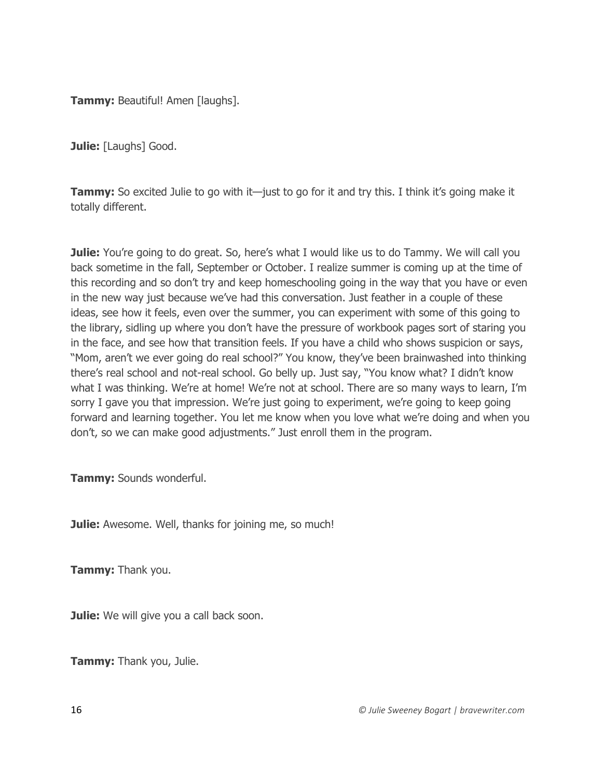**Tammy: Beautiful! Amen [laughs].** 

**Julie:** [Laughs] Good.

**Tammy:** So excited Julie to go with it—just to go for it and try this. I think it's going make it totally different.

**Julie:** You're going to do great. So, here's what I would like us to do Tammy. We will call you back sometime in the fall, September or October. I realize summer is coming up at the time of this recording and so don't try and keep homeschooling going in the way that you have or even in the new way just because we've had this conversation. Just feather in a couple of these ideas, see how it feels, even over the summer, you can experiment with some of this going to the library, sidling up where you don't have the pressure of workbook pages sort of staring you in the face, and see how that transition feels. If you have a child who shows suspicion or says, "Mom, aren't we ever going do real school?" You know, they've been brainwashed into thinking there's real school and not-real school. Go belly up. Just say, "You know what? I didn't know what I was thinking. We're at home! We're not at school. There are so many ways to learn, I'm sorry I gave you that impression. We're just going to experiment, we're going to keep going forward and learning together. You let me know when you love what we're doing and when you don't, so we can make good adjustments." Just enroll them in the program.

**Tammy:** Sounds wonderful.

**Julie:** Awesome. Well, thanks for joining me, so much!

**Tammy:** Thank you.

**Julie:** We will give you a call back soon.

**Tammy:** Thank you, Julie.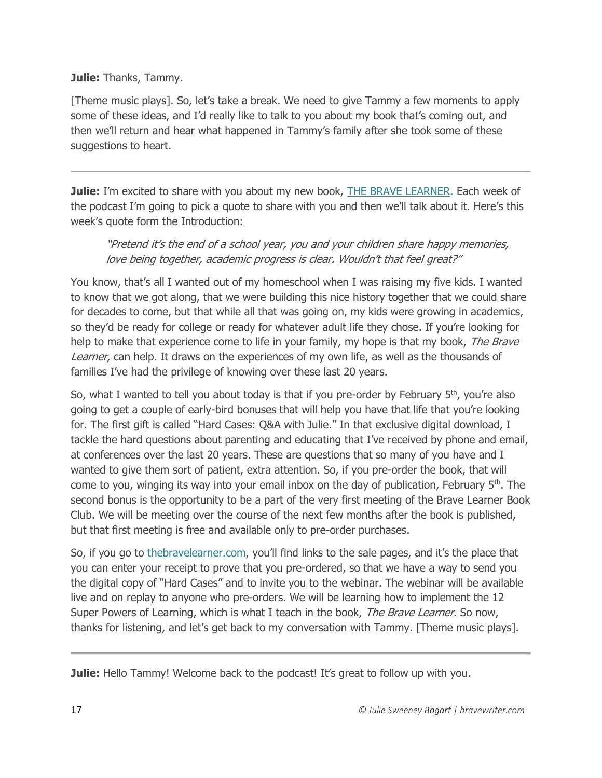#### **Julie:** Thanks, Tammy.

[Theme music plays]. So, let's take a break. We need to give Tammy a few moments to apply some of these ideas, and I'd really like to talk to you about my book that's coming out, and then we'll return and hear what happened in Tammy's family after she took some of these suggestions to heart.

**Julie:** I'm excited to share with you about my new book, [THE BRAVE LEARNER.](https://thebravelearner.com/) Each week of the podcast I'm going to pick a quote to share with you and then we'll talk about it. Here's this week's quote form the Introduction:

## "Pretend it's the end of a school year, you and your children share happy memories, love being together, academic progress is clear. Wouldn't that feel great?"

You know, that's all I wanted out of my homeschool when I was raising my five kids. I wanted to know that we got along, that we were building this nice history together that we could share for decades to come, but that while all that was going on, my kids were growing in academics, so they'd be ready for college or ready for whatever adult life they chose. If you're looking for help to make that experience come to life in your family, my hope is that my book, The Brave Learner, can help. It draws on the experiences of my own life, as well as the thousands of families I've had the privilege of knowing over these last 20 years.

So, what I wanted to tell you about today is that if you pre-order by February  $5<sup>th</sup>$ , you're also going to get a couple of early-bird bonuses that will help you have that life that you're looking for. The first gift is called "Hard Cases: Q&A with Julie." In that exclusive digital download, I tackle the hard questions about parenting and educating that I've received by phone and email, at conferences over the last 20 years. These are questions that so many of you have and I wanted to give them sort of patient, extra attention. So, if you pre-order the book, that will come to you, winging its way into your email inbox on the day of publication, February 5<sup>th</sup>. The second bonus is the opportunity to be a part of the very first meeting of the Brave Learner Book Club. We will be meeting over the course of the next few months after the book is published, but that first meeting is free and available only to pre-order purchases.

So, if you go to [thebravelearner.com](https://thebravelearner.com/), you'll find links to the sale pages, and it's the place that you can enter your receipt to prove that you pre-ordered, so that we have a way to send you the digital copy of "Hard Cases" and to invite you to the webinar. The webinar will be available live and on replay to anyone who pre-orders. We will be learning how to implement the 12 Super Powers of Learning, which is what I teach in the book, The Brave Learner. So now, thanks for listening, and let's get back to my conversation with Tammy. [Theme music plays].

**Julie:** Hello Tammy! Welcome back to the podcast! It's great to follow up with you.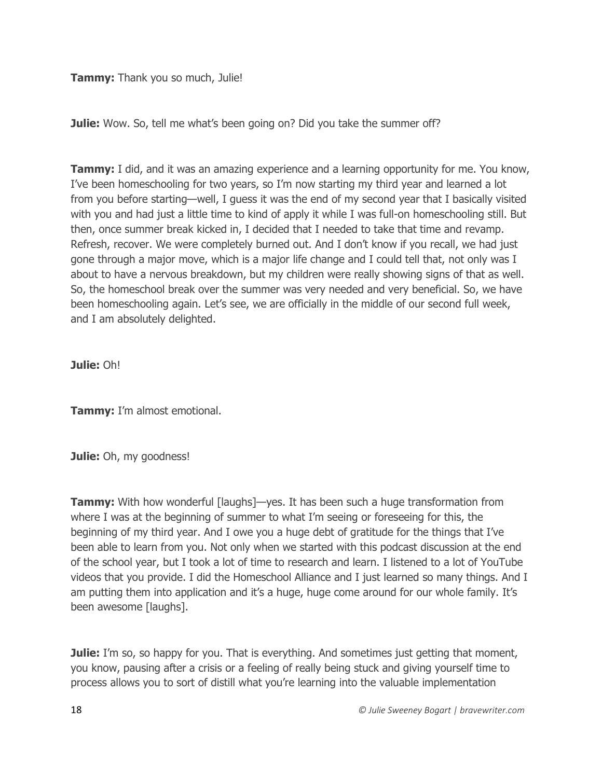**Tammy:** Thank you so much, Julie!

**Julie:** Wow. So, tell me what's been going on? Did you take the summer off?

**Tammy:** I did, and it was an amazing experience and a learning opportunity for me. You know, I've been homeschooling for two years, so I'm now starting my third year and learned a lot from you before starting—well, I guess it was the end of my second year that I basically visited with you and had just a little time to kind of apply it while I was full-on homeschooling still. But then, once summer break kicked in, I decided that I needed to take that time and revamp. Refresh, recover. We were completely burned out. And I don't know if you recall, we had just gone through a major move, which is a major life change and I could tell that, not only was I about to have a nervous breakdown, but my children were really showing signs of that as well. So, the homeschool break over the summer was very needed and very beneficial. So, we have been homeschooling again. Let's see, we are officially in the middle of our second full week, and I am absolutely delighted.

**Julie:** Oh!

**Tammy:** I'm almost emotional.

**Julie:** Oh, my goodness!

**Tammy:** With how wonderful [laughs]—yes. It has been such a huge transformation from where I was at the beginning of summer to what I'm seeing or foreseeing for this, the beginning of my third year. And I owe you a huge debt of gratitude for the things that I've been able to learn from you. Not only when we started with this podcast discussion at the end of the school year, but I took a lot of time to research and learn. I listened to a lot of YouTube videos that you provide. I did the Homeschool Alliance and I just learned so many things. And I am putting them into application and it's a huge, huge come around for our whole family. It's been awesome [laughs].

**Julie:** I'm so, so happy for you. That is everything. And sometimes just getting that moment, you know, pausing after a crisis or a feeling of really being stuck and giving yourself time to process allows you to sort of distill what you're learning into the valuable implementation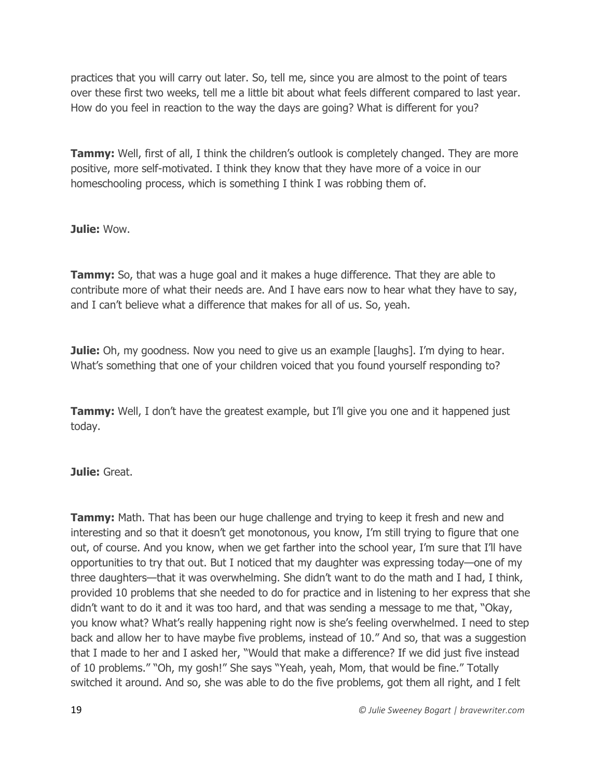practices that you will carry out later. So, tell me, since you are almost to the point of tears over these first two weeks, tell me a little bit about what feels different compared to last year. How do you feel in reaction to the way the days are going? What is different for you?

**Tammy:** Well, first of all, I think the children's outlook is completely changed. They are more positive, more self-motivated. I think they know that they have more of a voice in our homeschooling process, which is something I think I was robbing them of.

**Julie:** Wow.

**Tammy:** So, that was a huge goal and it makes a huge difference. That they are able to contribute more of what their needs are. And I have ears now to hear what they have to say, and I can't believe what a difference that makes for all of us. So, yeah.

**Julie:** Oh, my goodness. Now you need to give us an example [laughs]. I'm dying to hear. What's something that one of your children voiced that you found yourself responding to?

**Tammy:** Well, I don't have the greatest example, but I'll give you one and it happened just today.

**Julie:** Great.

**Tammy:** Math. That has been our huge challenge and trying to keep it fresh and new and interesting and so that it doesn't get monotonous, you know, I'm still trying to figure that one out, of course. And you know, when we get farther into the school year, I'm sure that I'll have opportunities to try that out. But I noticed that my daughter was expressing today—one of my three daughters—that it was overwhelming. She didn't want to do the math and I had, I think, provided 10 problems that she needed to do for practice and in listening to her express that she didn't want to do it and it was too hard, and that was sending a message to me that, "Okay, you know what? What's really happening right now is she's feeling overwhelmed. I need to step back and allow her to have maybe five problems, instead of 10." And so, that was a suggestion that I made to her and I asked her, "Would that make a difference? If we did just five instead of 10 problems." "Oh, my gosh!" She says "Yeah, yeah, Mom, that would be fine." Totally switched it around. And so, she was able to do the five problems, got them all right, and I felt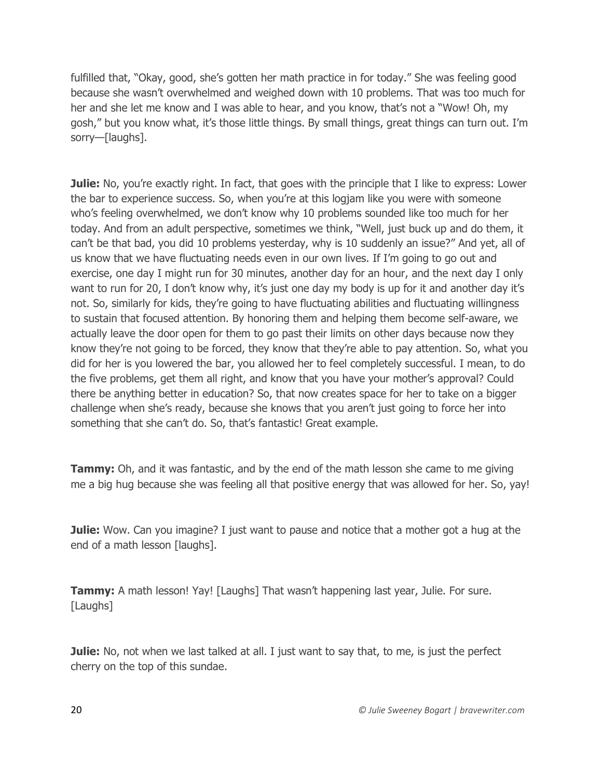fulfilled that, "Okay, good, she's gotten her math practice in for today." She was feeling good because she wasn't overwhelmed and weighed down with 10 problems. That was too much for her and she let me know and I was able to hear, and you know, that's not a "Wow! Oh, my gosh," but you know what, it's those little things. By small things, great things can turn out. I'm sorry—[laughs].

**Julie:** No, you're exactly right. In fact, that goes with the principle that I like to express: Lower the bar to experience success. So, when you're at this logjam like you were with someone who's feeling overwhelmed, we don't know why 10 problems sounded like too much for her today. And from an adult perspective, sometimes we think, "Well, just buck up and do them, it can't be that bad, you did 10 problems yesterday, why is 10 suddenly an issue?" And yet, all of us know that we have fluctuating needs even in our own lives. If I'm going to go out and exercise, one day I might run for 30 minutes, another day for an hour, and the next day I only want to run for 20, I don't know why, it's just one day my body is up for it and another day it's not. So, similarly for kids, they're going to have fluctuating abilities and fluctuating willingness to sustain that focused attention. By honoring them and helping them become self-aware, we actually leave the door open for them to go past their limits on other days because now they know they're not going to be forced, they know that they're able to pay attention. So, what you did for her is you lowered the bar, you allowed her to feel completely successful. I mean, to do the five problems, get them all right, and know that you have your mother's approval? Could there be anything better in education? So, that now creates space for her to take on a bigger challenge when she's ready, because she knows that you aren't just going to force her into something that she can't do. So, that's fantastic! Great example.

**Tammy:** Oh, and it was fantastic, and by the end of the math lesson she came to me giving me a big hug because she was feeling all that positive energy that was allowed for her. So, yay!

**Julie:** Wow. Can you imagine? I just want to pause and notice that a mother got a hug at the end of a math lesson [laughs].

**Tammy:** A math lesson! Yay! [Laughs] That wasn't happening last year, Julie. For sure. [Laughs]

**Julie:** No, not when we last talked at all. I just want to say that, to me, is just the perfect cherry on the top of this sundae.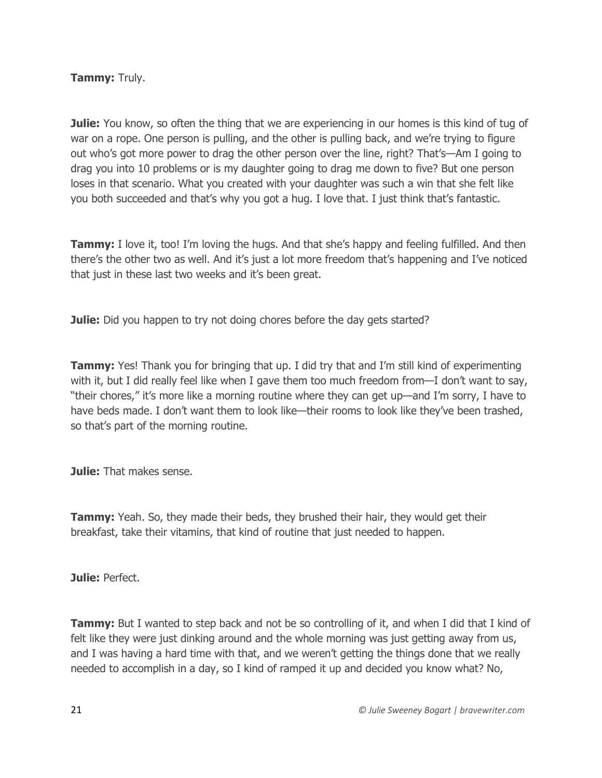## **Tammy:** Truly.

**Julie:** You know, so often the thing that we are experiencing in our homes is this kind of tug of war on a rope. One person is pulling, and the other is pulling back, and we're trying to figure out who's got more power to drag the other person over the line, right? That's—Am I going to drag you into 10 problems or is my daughter going to drag me down to five? But one person loses in that scenario. What you created with your daughter was such a win that she felt like you both succeeded and that's why you got a hug. I love that. I just think that's fantastic.

**Tammy:** I love it, too! I'm loving the hugs. And that she's happy and feeling fulfilled. And then there's the other two as well. And it's just a lot more freedom that's happening and I've noticed that just in these last two weeks and it's been great.

**Julie:** Did you happen to try not doing chores before the day gets started?

**Tammy:** Yes! Thank you for bringing that up. I did try that and I'm still kind of experimenting with it, but I did really feel like when I gave them too much freedom from—I don't want to say, "their chores," it's more like a morning routine where they can get up—and I'm sorry, I have to have beds made. I don't want them to look like—their rooms to look like they've been trashed, so that's part of the morning routine.

**Julie:** That makes sense.

**Tammy:** Yeah. So, they made their beds, they brushed their hair, they would get their breakfast, take their vitamins, that kind of routine that just needed to happen.

**Julie:** Perfect.

**Tammy:** But I wanted to step back and not be so controlling of it, and when I did that I kind of felt like they were just dinking around and the whole morning was just getting away from us, and I was having a hard time with that, and we weren't getting the things done that we really needed to accomplish in a day, so I kind of ramped it up and decided you know what? No,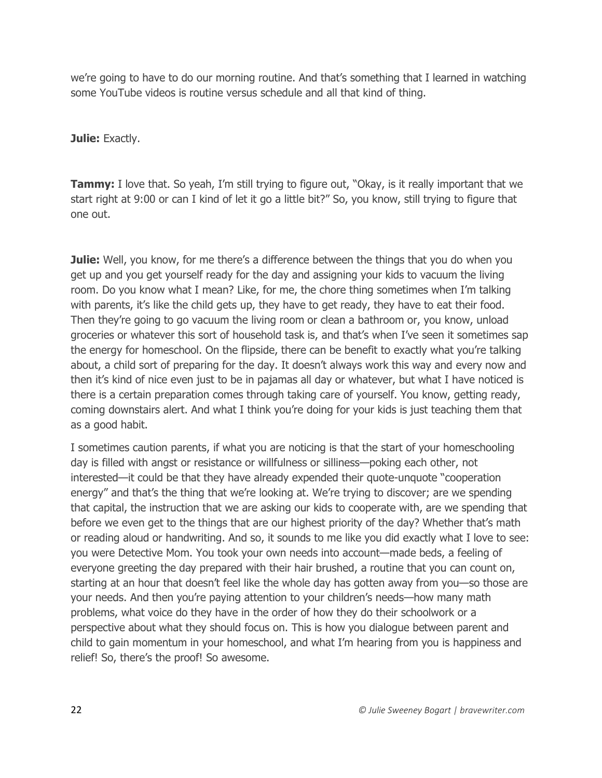we're going to have to do our morning routine. And that's something that I learned in watching some YouTube videos is routine versus schedule and all that kind of thing.

**Julie:** Exactly.

**Tammy:** I love that. So yeah, I'm still trying to figure out, "Okay, is it really important that we start right at 9:00 or can I kind of let it go a little bit?" So, you know, still trying to figure that one out.

**Julie:** Well, you know, for me there's a difference between the things that you do when you get up and you get yourself ready for the day and assigning your kids to vacuum the living room. Do you know what I mean? Like, for me, the chore thing sometimes when I'm talking with parents, it's like the child gets up, they have to get ready, they have to eat their food. Then they're going to go vacuum the living room or clean a bathroom or, you know, unload groceries or whatever this sort of household task is, and that's when I've seen it sometimes sap the energy for homeschool. On the flipside, there can be benefit to exactly what you're talking about, a child sort of preparing for the day. It doesn't always work this way and every now and then it's kind of nice even just to be in pajamas all day or whatever, but what I have noticed is there is a certain preparation comes through taking care of yourself. You know, getting ready, coming downstairs alert. And what I think you're doing for your kids is just teaching them that as a good habit.

I sometimes caution parents, if what you are noticing is that the start of your homeschooling day is filled with angst or resistance or willfulness or silliness—poking each other, not interested—it could be that they have already expended their quote-unquote "cooperation energy" and that's the thing that we're looking at. We're trying to discover; are we spending that capital, the instruction that we are asking our kids to cooperate with, are we spending that before we even get to the things that are our highest priority of the day? Whether that's math or reading aloud or handwriting. And so, it sounds to me like you did exactly what I love to see: you were Detective Mom. You took your own needs into account—made beds, a feeling of everyone greeting the day prepared with their hair brushed, a routine that you can count on, starting at an hour that doesn't feel like the whole day has gotten away from you—so those are your needs. And then you're paying attention to your children's needs—how many math problems, what voice do they have in the order of how they do their schoolwork or a perspective about what they should focus on. This is how you dialogue between parent and child to gain momentum in your homeschool, and what I'm hearing from you is happiness and relief! So, there's the proof! So awesome.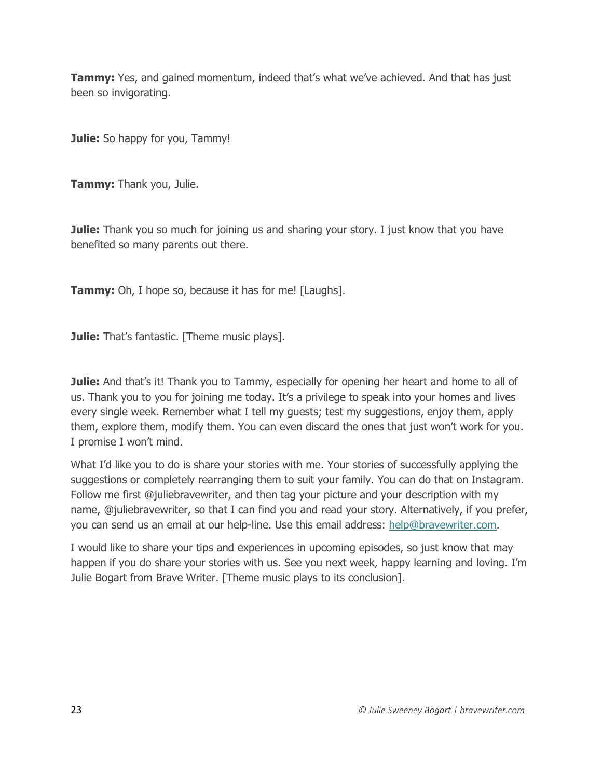**Tammy:** Yes, and gained momentum, indeed that's what we've achieved. And that has just been so invigorating.

**Julie:** So happy for you, Tammy!

**Tammy:** Thank you, Julie.

**Julie:** Thank you so much for joining us and sharing your story. I just know that you have benefited so many parents out there.

**Tammy:** Oh, I hope so, because it has for me! [Laughs].

**Julie:** That's fantastic. [Theme music plays].

**Julie:** And that's it! Thank you to Tammy, especially for opening her heart and home to all of us. Thank you to you for joining me today. It's a privilege to speak into your homes and lives every single week. Remember what I tell my guests; test my suggestions, enjoy them, apply them, explore them, modify them. You can even discard the ones that just won't work for you. I promise I won't mind.

What I'd like you to do is share your stories with me. Your stories of successfully applying the suggestions or completely rearranging them to suit your family. You can do that on Instagram. Follow me first @juliebravewriter, and then tag your picture and your description with my name, @juliebravewriter, so that I can find you and read your story. Alternatively, if you prefer, you can send us an email at our help-line. Use this email address: [help@bravewriter.com.](mailto:help@bravewriter.com)

I would like to share your tips and experiences in upcoming episodes, so just know that may happen if you do share your stories with us. See you next week, happy learning and loving. I'm Julie Bogart from Brave Writer. [Theme music plays to its conclusion].